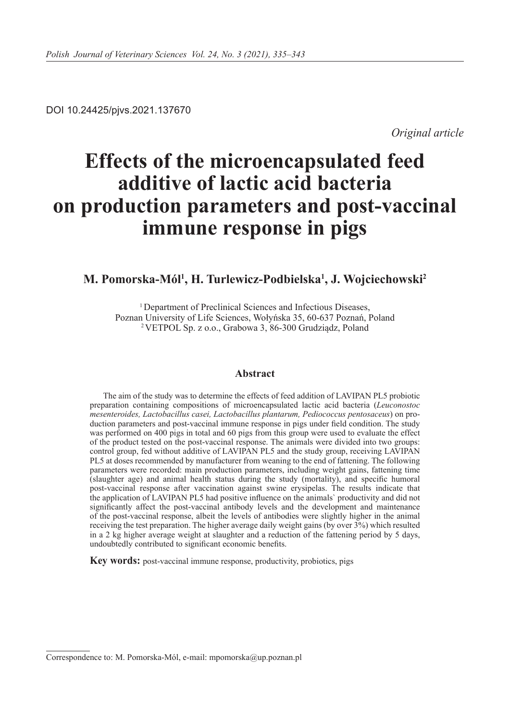DOI 10.24425/pjvs.2021.137670

*Original article*

# **Effects of the microencapsulated feed additive of lactic acid bacteria on production parameters and post-vaccinal immune response in pigs**

## **M. Pomorska-Mól1 , H. Turlewicz-Podbielska1 , J. Wojciechowski2**

<sup>1</sup> Department of Preclinical Sciences and Infectious Diseases, Poznan University of Life Sciences, Wołyńska 35, 60-637 Poznań, Poland 2 VETPOL Sp. z o.o., Grabowa 3, 86-300 Grudziądz, Poland

## **Abstract**

The aim of the study was to determine the effects of feed addition of LAVIPAN PL5 probiotic preparation containing compositions of microencapsulated lactic acid bacteria (*Leuconostoc mesenteroides, Lactobacillus casei, Lactobacillus plantarum, Pediococcus pentosaceus*) on production parameters and post-vaccinal immune response in pigs under field condition. The study was performed on 400 pigs in total and 60 pigs from this group were used to evaluate the effect of the product tested on the post-vaccinal response. The animals were divided into two groups: control group, fed without additive of LAVIPAN PL5 and the study group, receiving LAVIPAN PL5 at doses recommended by manufacturer from weaning to the end of fattening. The following parameters were recorded: main production parameters, including weight gains, fattening time (slaughter age) and animal health status during the study (mortality), and specific humoral post-vaccinal response after vaccination against swine erysipelas. The results indicate that the application of LAVIPAN PL5 had positive influence on the animals` productivity and did not significantly affect the post-vaccinal antibody levels and the development and maintenance of the post-vaccinal response, albeit the levels of antibodies were slightly higher in the animal receiving the test preparation. The higher average daily weight gains (by over 3%) which resulted in a 2 kg higher average weight at slaughter and a reduction of the fattening period by 5 days, undoubtedly contributed to significant economic benefits.

**Key words:** post-vaccinal immune response, productivity, probiotics, pigs

Correspondence to: M. Pomorska-Mól, e-mail: mpomorska@up.poznan.pl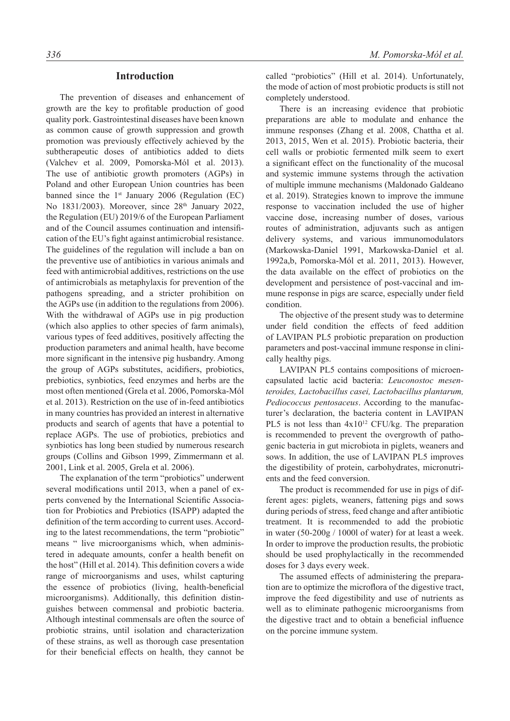## **Introduction**

The prevention of diseases and enhancement of growth are the key to profitable production of good quality pork. Gastrointestinal diseases have been known as common cause of growth suppression and growth promotion was previously effectively achieved by the subtherapeutic doses of antibiotics added to diets (Valchev et al. 2009, Pomorska-Mól et al. 2013). The use of antibiotic growth promoters (AGPs) in Poland and other European Union countries has been banned since the  $1<sup>st</sup>$  January 2006 (Regulation (EC) No 1831/2003). Moreover, since 28<sup>th</sup> January 2022, the Regulation (EU) 2019/6 of the European Parliament and of the Council assumes continuation and intensification of the EU's fight against antimicrobial resistance. The guidelines of the regulation will include a ban on the preventive use of antibiotics in various animals and feed with antimicrobial additives, restrictions on the use of antimicrobials as metaphylaxis for prevention of the pathogens spreading, and a stricter prohibition on the AGPs use (in addition to the regulations from 2006). With the withdrawal of AGPs use in pig production (which also applies to other species of farm animals), various types of feed additives, positively affecting the production parameters and animal health, have become more significant in the intensive pig husbandry. Among the group of AGPs substitutes, acidifiers, probiotics, prebiotics, synbiotics, feed enzymes and herbs are the most often mentioned (Grela et al. 2006, Pomorska-Mól et al. 2013). Restriction on the use of in-feed antibiotics in many countries has provided an interest in alternative products and search of agents that have a potential to replace AGPs. The use of probiotics, prebiotics and synbiotics has long been studied by numerous research groups (Collins and Gibson 1999, Zimmermann et al. 2001, Link et al. 2005, Grela et al. 2006).

The explanation of the term "probiotics" underwent several modifications until 2013, when a panel of experts convened by the International Scientific Association for Probiotics and Prebiotics (ISAPP) adapted the definition of the term according to current uses. According to the latest recommendations, the term "probiotic" means " live microorganisms which, when administered in adequate amounts, confer a health benefit on the host" (Hill et al. 2014). This definition covers a wide range of microorganisms and uses, whilst capturing the essence of probiotics (living, health-beneficial microorganisms). Additionally, this definition distinguishes between commensal and probiotic bacteria. Although intestinal commensals are often the source of probiotic strains, until isolation and characterization of these strains, as well as thorough case presentation for their beneficial effects on health, they cannot be

called "probiotics" (Hill et al. 2014). Unfortunately, the mode of action of most probiotic products is still not completely understood.

There is an increasing evidence that probiotic preparations are able to modulate and enhance the immune responses (Zhang et al. 2008, Chattha et al. 2013, 2015, Wen et al. 2015). Probiotic bacteria, their cell walls or probiotic fermented milk seem to exert a significant effect on the functionality of the mucosal and systemic immune systems through the activation of multiple immune mechanisms (Maldonado Galdeano et al. 2019). Strategies known to improve the immune response to vaccination included the use of higher vaccine dose, increasing number of doses, various routes of administration, adjuvants such as antigen delivery systems, and various immunomodulators (Markowska-Daniel 1991, Markowska-Daniel et al. 1992a,b, Pomorska-Mól et al. 2011, 2013). However, the data available on the effect of probiotics on the development and persistence of post-vaccinal and immune response in pigs are scarce, especially under field condition.

The objective of the present study was to determine under field condition the effects of feed addition of LAVIPAN PL5 probiotic preparation on production parameters and post-vaccinal immune response in clinically healthy pigs.

LAVIPAN PL5 contains compositions of microencapsulated lactic acid bacteria: *Leuconostoc mesenteroides, Lactobacillus casei, Lactobacillus plantarum, Pediococcus pentosaceus*. According to the manufacturer's declaration, the bacteria content in LAVIPAN PL5 is not less than  $4x10^{12}$  CFU/kg. The preparation is recommended to prevent the overgrowth of pathogenic bacteria in gut microbiota in piglets, weaners and sows. In addition, the use of LAVIPAN PL5 improves the digestibility of protein, carbohydrates, micronutrients and the feed conversion.

The product is recommended for use in pigs of different ages: piglets, weaners, fattening pigs and sows during periods of stress, feed change and after antibiotic treatment. It is recommended to add the probiotic in water (50-200g / 1000l of water) for at least a week. In order to improve the production results, the probiotic should be used prophylactically in the recommended doses for 3 days every week.

The assumed effects of administering the preparation are to optimize the microflora of the digestive tract, improve the feed digestibility and use of nutrients as well as to eliminate pathogenic microorganisms from the digestive tract and to obtain a beneficial influence on the porcine immune system.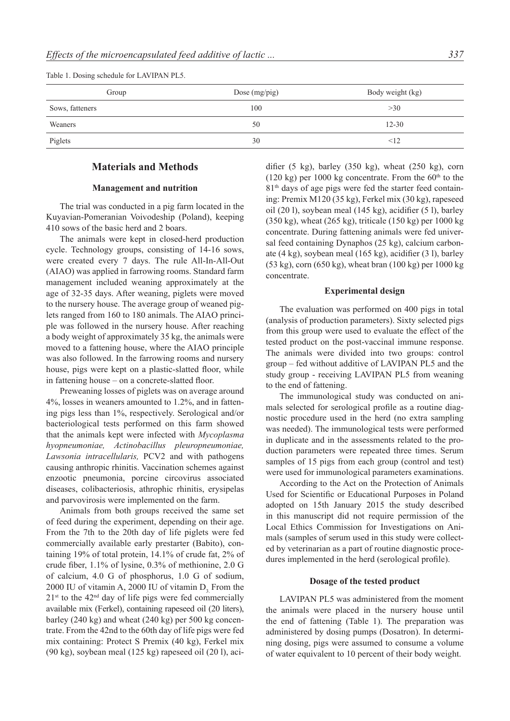Table 1. Dosing schedule for LAVIPAN PL5.

| Group           | Dose (mg/pig) | Body weight (kg) |
|-----------------|---------------|------------------|
| Sows, fatteners | 100           | >30              |
| Weaners         | 50            | $12 - 30$        |
| Piglets         | 30            | <12              |

## **Materials and Methods**

#### **Management and nutrition**

The trial was conducted in a pig farm located in the Kuyavian-Pomeranian Voivodeship (Poland), keeping 410 sows of the basic herd and 2 boars.

The animals were kept in closed-herd production cycle. Technology groups, consisting of 14-16 sows, were created every 7 days. The rule All-In-All-Out (AIAO) was applied in farrowing rooms. Standard farm management included weaning approximately at the age of 32-35 days. After weaning, piglets were moved to the nursery house. The average group of weaned piglets ranged from 160 to 180 animals. The AIAO principle was followed in the nursery house. After reaching a body weight of approximately 35 kg, the animals were moved to a fattening house, where the AIAO principle was also followed. In the farrowing rooms and nursery house, pigs were kept on a plastic-slatted floor, while in fattening house – on a concrete-slatted floor.

Preweaning losses of piglets was on average around 4%, losses in weaners amounted to 1.2%, and in fattening pigs less than 1%, respectively. Serological and/or bacteriological tests performed on this farm showed that the animals kept were infected with *Mycoplasma hyopneumoniae, Actinobacillus pleuropneumoniae, Lawsonia intracellularis,* PCV2 and with pathogens causing anthropic rhinitis. Vaccination schemes against enzootic pneumonia, porcine circovirus associated diseases, colibacteriosis, athrophic rhinitis, erysipelas and parvovirosis were implemented on the farm.

Animals from both groups received the same set of feed during the experiment, depending on their age. From the 7th to the 20th day of life piglets were fed commercially available early prestarter (Babito), containing 19% of total protein, 14.1% of crude fat, 2% of crude fiber, 1.1% of lysine, 0.3% of methionine, 2.0 G of calcium, 4.0 G of phosphorus, 1.0 G of sodium,  $2000$  IU of vitamin A,  $2000$  IU of vitamin D. From the  $21<sup>st</sup>$  to the 42<sup>nd</sup> day of life pigs were fed commercially available mix (Ferkel), containing rapeseed oil (20 liters), barley (240 kg) and wheat (240 kg) per 500 kg concentrate. From the 42nd to the 60th day of life pigs were fed mix containing: Protect S Premix (40 kg), Ferkel mix (90 kg), soybean meal (125 kg) rapeseed oil (20 l), acidifier  $(5 \text{ kg})$ , barley  $(350 \text{ kg})$ , wheat  $(250 \text{ kg})$ , corn (120 kg) per 1000 kg concentrate. From the  $60<sup>th</sup>$  to the 81<sup>th</sup> days of age pigs were fed the starter feed containing: Premix M120 (35 kg), Ferkel mix (30 kg), rapeseed oil (20 l), soybean meal (145 kg), acidifier (5 l), barley (350 kg), wheat (265 kg), triticale (150 kg) per 1000 kg concentrate. During fattening animals were fed universal feed containing Dynaphos (25 kg), calcium carbonate (4 kg), soybean meal (165 kg), acidifier (3 l), barley (53 kg), corn (650 kg), wheat bran (100 kg) per 1000 kg concentrate.

#### **Experimental design**

The evaluation was performed on 400 pigs in total (analysis of production parameters). Sixty selected pigs from this group were used to evaluate the effect of the tested product on the post-vaccinal immune response. The animals were divided into two groups: control group – fed without additive of LAVIPAN PL5 and the study group - receiving LAVIPAN PL5 from weaning to the end of fattening.

The immunological study was conducted on animals selected for serological profile as a routine diagnostic procedure used in the herd (no extra sampling was needed). The immunological tests were performed in duplicate and in the assessments related to the production parameters were repeated three times. Serum samples of 15 pigs from each group (control and test) were used for immunological parameters examinations.

According to the Act on the Protection of Animals Used for Scientific or Educational Purposes in Poland adopted on 15th January 2015 the study described in this manuscript did not require permission of the Local Ethics Commission for Investigations on Animals (samples of serum used in this study were collected by veterinarian as a part of routine diagnostic procedures implemented in the herd (serological profile).

#### **Dosage of the tested product**

LAVIPAN PL5 was administered from the moment the animals were placed in the nursery house until the end of fattening (Table 1). The preparation was administered by dosing pumps (Dosatron). In determining dosing, pigs were assumed to consume a volume of water equivalent to 10 percent of their body weight.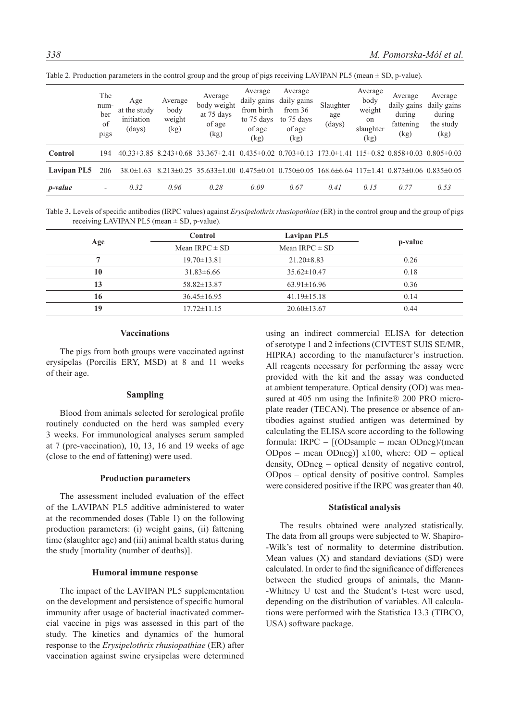|                 | The<br>num-<br>ber<br>of<br>pigs | Age<br>at the study<br>initiation<br>(days) | Average<br>body<br>weight<br>(kg) | Average<br>body weight<br>at 75 days<br>of age<br>(kg)                                                                 | Average<br>daily gains<br>from birth<br>to 75 days<br>of age<br>(kg) | Average<br>daily gains<br>from $36$<br>to 75 days<br>of age<br>(kg) | Slaughter<br>age<br>(days) | Average<br>body<br>weight<br>on<br>slaughter<br>(kg) | Average<br>daily gains<br>during<br>fattening<br>(kg)             | Average<br>daily gains<br>during<br>the study<br>(kg) |
|-----------------|----------------------------------|---------------------------------------------|-----------------------------------|------------------------------------------------------------------------------------------------------------------------|----------------------------------------------------------------------|---------------------------------------------------------------------|----------------------------|------------------------------------------------------|-------------------------------------------------------------------|-------------------------------------------------------|
| Control         | 194                              |                                             |                                   | $40.33\pm3.85$ $8.243\pm0.68$ $33.367\pm2.41$ $0.435\pm0.02$ $0.703\pm0.13$                                            |                                                                      |                                                                     |                            |                                                      | $173.0 \pm 1.41$ $115 \pm 0.82$ $0.858 \pm 0.03$ $0.805 \pm 0.03$ |                                                       |
| Lavipan PL5     | 206                              | $38.0 \pm 1.63$                             |                                   | $8.213\pm0.25$ $35.633\pm1.00$ $0.475\pm0.01$ $0.750\pm0.05$ $168.6\pm6.64$ $117\pm1.41$ $0.873\pm0.06$ $0.835\pm0.05$ |                                                                      |                                                                     |                            |                                                      |                                                                   |                                                       |
| <i>p</i> -value | $\overline{\phantom{a}}$         | 0.32                                        | 0.96                              | 0.28                                                                                                                   | 0.09                                                                 | 0.67                                                                | 0.41                       | 0.15                                                 | 0.77                                                              | 0.53                                                  |

Table 2. Production parameters in the control group and the group of pigs receiving LAVIPAN PL5 (mean ± SD, p-value).

Table 3**.** Levels of specific antibodies (IRPC values) against *Erysipelothrix rhusiopathiae* (ER) in the control group and the group of pigs receiving LAVIPAN PL5 (mean  $\pm$  SD, p-value).

| Age | <b>Control</b>     | Lavipan PL5        | p-value |  |
|-----|--------------------|--------------------|---------|--|
|     | Mean IRPC $\pm$ SD | Mean IRPC $\pm$ SD |         |  |
|     | $19.70 \pm 13.81$  | $21.20 \pm 8.83$   | 0.26    |  |
| 10  | $31.83\pm 6.66$    | $35.62 \pm 10.47$  | 0.18    |  |
| 13  | $58.82 \pm 13.87$  | $63.91 \pm 16.96$  | 0.36    |  |
| 16  | $36.45 \pm 16.95$  | $41.19 \pm 15.18$  | 0.14    |  |
| 19  | $17.72 \pm 11.15$  | $20.60 \pm 13.67$  | 0.44    |  |

## **Vaccinations**

The pigs from both groups were vaccinated against erysipelas (Porcilis ERY, MSD) at 8 and 11 weeks of their age.

#### **Sampling**

Blood from animals selected for serological profile routinely conducted on the herd was sampled every 3 weeks. For immunological analyses serum sampled at 7 (pre-vaccination), 10, 13, 16 and 19 weeks of age (close to the end of fattening) were used.

#### **Production parameters**

The assessment included evaluation of the effect of the LAVIPAN PL5 additive administered to water at the recommended doses (Table 1) on the following production parameters: (i) weight gains, (ii) fattening time (slaughter age) and (iii) animal health status during the study [mortality (number of deaths)].

#### **Humoral immune response**

The impact of the LAVIPAN PL5 supplementation on the development and persistence of specific humoral immunity after usage of bacterial inactivated commercial vaccine in pigs was assessed in this part of the study. The kinetics and dynamics of the humoral response to the *Erysipelothrix rhusiopathiae* (ER) after vaccination against swine erysipelas were determined using an indirect commercial ELISA for detection of serotype 1 and 2 infections (CIVTEST SUIS SE/MR, HIPRA) according to the manufacturer's instruction. All reagents necessary for performing the assay were provided with the kit and the assay was conducted at ambient temperature. Optical density (OD) was measured at 405 nm using the Infinite® 200 PRO microplate reader (TECAN). The presence or absence of antibodies against studied antigen was determined by calculating the ELISA score according to the following formula: IRPC = [(ODsample – mean ODneg)/(mean ODpos – mean ODneg)] x100, where: OD – optical density, ODneg – optical density of negative control, ODpos – optical density of positive control. Samples were considered positive if the IRPC was greater than 40.

#### **Statistical analysis**

The results obtained were analyzed statistically. The data from all groups were subjected to W. Shapiro- -Wilk's test of normality to determine distribution. Mean values  $(X)$  and standard deviations  $(SD)$  were calculated. In order to find the significance of differences between the studied groups of animals, the Mann- -Whitney U test and the Student's t-test were used, depending on the distribution of variables. All calculations were performed with the Statistica 13.3 (TIBCO, USA) software package.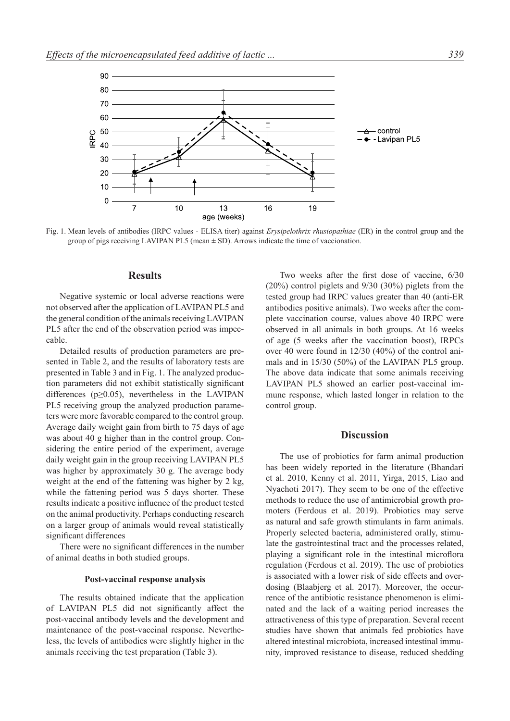

Fig. 1. Mean levels of antibodies (IRPC values - ELISA titer) against *Erysipelothrix rhusiopathiae* (ER) in the control group and the group of pigs receiving LAVIPAN PL5 (mean  $\pm$  SD). Arrows indicate the time of vaccionation.

### **Results**

Negative systemic or local adverse reactions were not observed after the application of LAVIPAN PL5 and the general condition of the animals receiving LAVIPAN PL5 after the end of the observation period was impeccable.

Detailed results of production parameters are presented in Table 2, and the results of laboratory tests are presented in Table 3 and in Fig. 1. The analyzed production parameters did not exhibit statistically significant differences ( $p \ge 0.05$ ), nevertheless in the LAVIPAN PL5 receiving group the analyzed production parameters were more favorable compared to the control group. Average daily weight gain from birth to 75 days of age was about 40 g higher than in the control group. Considering the entire period of the experiment, average daily weight gain in the group receiving LAVIPAN PL5 was higher by approximately 30 g. The average body weight at the end of the fattening was higher by 2 kg, while the fattening period was 5 days shorter. These results indicate a positive influence of the product tested on the animal productivity. Perhaps conducting research on a larger group of animals would reveal statistically significant differences

There were no significant differences in the number of animal deaths in both studied groups.

#### **Post-vaccinal response analysis**

The results obtained indicate that the application of LAVIPAN PL5 did not significantly affect the post-vaccinal antibody levels and the development and maintenance of the post-vaccinal response. Nevertheless, the levels of antibodies were slightly higher in the animals receiving the test preparation (Table 3).

Two weeks after the first dose of vaccine, 6/30 (20%) control piglets and 9/30 (30%) piglets from the tested group had IRPC values greater than 40 (anti-ER antibodies positive animals). Two weeks after the complete vaccination course, values above 40 IRPC were observed in all animals in both groups. At 16 weeks of age (5 weeks after the vaccination boost), IRPCs over 40 were found in 12/30 (40%) of the control animals and in 15/30 (50%) of the LAVIPAN PL5 group. The above data indicate that some animals receiving LAVIPAN PL5 showed an earlier post-vaccinal immune response, which lasted longer in relation to the control group.

## **Discussion**

The use of probiotics for farm animal production has been widely reported in the literature (Bhandari et al. 2010, Kenny et al. 2011, Yirga, 2015, Liao and Nyachoti 2017). They seem to be one of the effective methods to reduce the use of antimicrobial growth promoters (Ferdous et al. 2019). Probiotics may serve as natural and safe growth stimulants in farm animals. Properly selected bacteria, administered orally, stimulate the gastrointestinal tract and the processes related, playing a significant role in the intestinal microflora regulation (Ferdous et al. 2019). The use of probiotics is associated with a lower risk of side effects and overdosing (Blaabjerg et al. 2017). Moreover, the occurrence of the antibiotic resistance phenomenon is eliminated and the lack of a waiting period increases the attractiveness of this type of preparation. Several recent studies have shown that animals fed probiotics have altered intestinal microbiota, increased intestinal immunity, improved resistance to disease, reduced shedding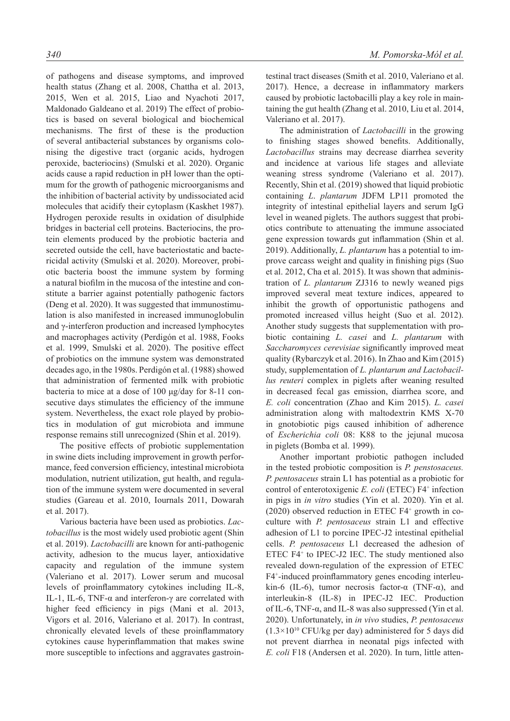of pathogens and disease symptoms, and improved health status (Zhang et al. 2008, Chattha et al. 2013, 2015, Wen et al. 2015, Liao and Nyachoti 2017, Maldonado Galdeano et al. 2019) The effect of probiotics is based on several biological and biochemical mechanisms. The first of these is the production of several antibacterial substances by organisms colonising the digestive tract (organic acids, hydrogen peroxide, bacteriocins) (Smulski et al. 2020). Organic acids cause a rapid reduction in pH lower than the optimum for the growth of pathogenic microorganisms and the inhibition of bacterial activity by undissociated acid molecules that acidify their cytoplasm (Kaskhet 1987). Hydrogen peroxide results in oxidation of disulphide bridges in bacterial cell proteins. Bacteriocins, the protein elements produced by the probiotic bacteria and secreted outside the cell, have bacteriostatic and bactericidal activity (Smulski et al. 2020). Moreover, probiotic bacteria boost the immune system by forming a natural biofilm in the mucosa of the intestine and constitute a barrier against potentially pathogenic factors (Deng et al. 2020). It was suggested that immunostimulation is also manifested in increased immunoglobulin and γ-interferon production and increased lymphocytes and macrophages activity (Perdigón et al. 1988, Fooks et al. 1999, Smulski et al. 2020). The positive effect of probiotics on the immune system was demonstrated decades ago, in the 1980s. Perdigón et al. (1988) showed that administration of fermented milk with probiotic bacteria to mice at a dose of 100 μg/day for 8-11 consecutive days stimulates the efficiency of the immune system. Nevertheless, the exact role played by probiotics in modulation of gut microbiota and immune response remains still unrecognized (Shin et al. 2019).

The positive effects of probiotic supplementation in swine diets including improvement in growth performance, feed conversion efficiency, intestinal microbiota modulation, nutrient utilization, gut health, and regulation of the immune system were documented in several studies (Gareau et al. 2010, Iournals 2011, Dowarah et al. 2017).

Various bacteria have been used as probiotics. *Lactobacillus* is the most widely used probiotic agent (Shin et al. 2019). *Lactobacilli* are known for anti-pathogenic activity, adhesion to the mucus layer, antioxidative capacity and regulation of the immune system (Valeriano et al. 2017). Lower serum and mucosal levels of proinflammatory cytokines including IL-8, IL-1, IL-6, TNF- $\alpha$  and interferon-γ are correlated with higher feed efficiency in pigs (Mani et al. 2013, Vigors et al. 2016, Valeriano et al. 2017). In contrast, chronically elevated levels of these proinflammatory cytokines cause hyperinflammation that makes swine more susceptible to infections and aggravates gastrointestinal tract diseases (Smith et al. 2010, Valeriano et al. 2017). Hence, a decrease in inflammatory markers caused by probiotic lactobacilli play a key role in maintaining the gut health (Zhang et al. 2010, Liu et al. 2014, Valeriano et al. 2017).

The administration of *Lactobacilli* in the growing to finishing stages showed benefits. Additionally, *Lactobacillus* strains may decrease diarrhea severity and incidence at various life stages and alleviate weaning stress syndrome (Valeriano et al. 2017). Recently, Shin et al. (2019) showed that liquid probiotic containing *L*. *plantarum* JDFM LP11 promoted the integrity of intestinal epithelial layers and serum IgG level in weaned piglets. The authors suggest that probiotics contribute to attenuating the immune associated gene expression towards gut inflammation (Shin et al. 2019). Additionally, *L. plantarum* has a potential to improve carcass weight and quality in finishing pigs (Suo et al. 2012, Cha et al. 2015). It was shown that administration of *L. plantarum* ZJ316 to newly weaned pigs improved several meat texture indices, appeared to inhibit the growth of opportunistic pathogens and promoted increased villus height (Suo et al. 2012). Another study suggests that supplementation with probiotic containing *L. casei* and *L. plantarum* with *Saccharomyces cerevisiae* significantly improved meat quality (Rybarczyk et al. 2016). In Zhao and Kim (2015) study, supplementation of *L. plantarum and Lactobacillus reuteri* complex in piglets after weaning resulted in decreased fecal gas emission, diarrhea score, and *E. coli* concentration (Zhao and Kim 2015). *L. casei* administration along with maltodextrin KMS X-70 in gnotobiotic pigs caused inhibition of adherence of *Escherichia coli* 08: K88 to the jejunal mucosa in piglets (Bomba et al. 1999).

Another important probiotic pathogen included in the tested probiotic composition is *P. penstosaceus. P. pentosaceus* strain L1 has potential as a probiotic for control of enterotoxigenic *E. coli* (ETEC) F4<sup>+</sup> infection in pigs in *in vitro* studies (Yin et al. 2020). Yin et al. (2020) observed reduction in ETEC F4+ growth in coculture with *P. pentosaceus* strain L1 and effective adhesion of L1 to porcine IPEC-J2 intestinal epithelial cells. *P. pentosaceus* L1 decreased the adhesion of ETEC F4+ to IPEC-J2 IEC. The study mentioned also revealed down-regulation of the expression of ETEC F4+ -induced proinflammatory genes encoding interleukin-6 (IL-6), tumor necrosis factor- $\alpha$  (TNF- $\alpha$ ), and interleukin-8 (IL-8) in IPEC-J2 IEC. Production of IL-6, TNF-α, and IL-8 was also suppressed (Yin et al. 2020). Unfortunately, in *in vivo* studies, *P. pentosaceus*  $(1.3\times10^{10}$  CFU/kg per day) administered for 5 days did not prevent diarrhea in neonatal pigs infected with *E. coli* F18 (Andersen et al. 2020). In turn, little atten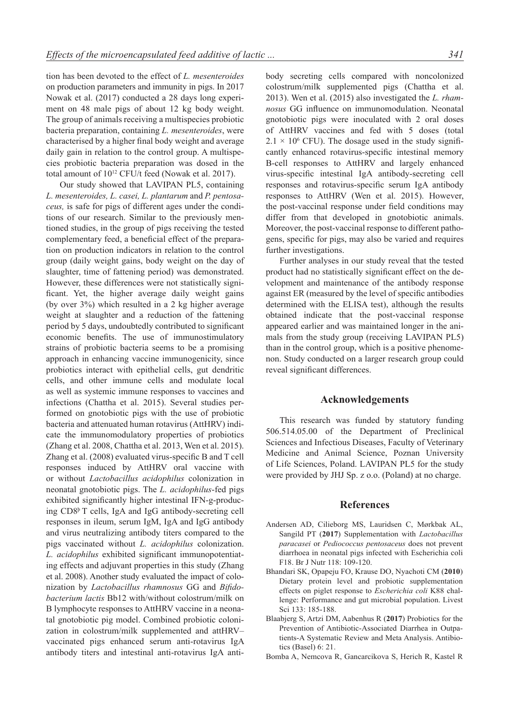tion has been devoted to the effect of *L. mesenteroides* on production parameters and immunity in pigs. In 2017 Nowak et al. (2017) conducted a 28 days long experiment on 48 male pigs of about 12 kg body weight. The group of animals receiving a multispecies probiotic bacteria preparation, containing *L. mesenteroides*, were characterised by a higher final body weight and average daily gain in relation to the control group. A multispecies probiotic bacteria preparation was dosed in the total amount of  $10^{12}$  CFU/t feed (Nowak et al. 2017).

Our study showed that LAVIPAN PL5, containing *L. mesenteroides, L. casei, L. plantarum* and *P. pentosaceus,* is safe for pigs of different ages under the conditions of our research. Similar to the previously mentioned studies, in the group of pigs receiving the tested complementary feed, a beneficial effect of the preparation on production indicators in relation to the control group (daily weight gains, body weight on the day of slaughter, time of fattening period) was demonstrated. However, these differences were not statistically significant. Yet, the higher average daily weight gains (by over 3%) which resulted in a 2 kg higher average weight at slaughter and a reduction of the fattening period by 5 days, undoubtedly contributed to significant economic benefits. The use of immunostimulatory strains of probiotic bacteria seems to be a promising approach in enhancing vaccine immunogenicity, since probiotics interact with epithelial cells, gut dendritic cells, and other immune cells and modulate local as well as systemic immune responses to vaccines and infections (Chattha et al. 2015). Several studies performed on gnotobiotic pigs with the use of probiotic bacteria and attenuated human rotavirus (AttHRV) indicate the immunomodulatory properties of probiotics (Zhang et al. 2008, Chattha et al. 2013, Wen et al. 2015). Zhang et al. (2008) evaluated virus-specific B and T cell responses induced by AttHRV oral vaccine with or without *Lactobacillus acidophilus* colonization in neonatal gnotobiotic pigs. The *L. acidophilus*-fed pigs exhibited significantly higher intestinal IFN-g-producing CD8þ T cells, IgA and IgG antibody-secreting cell responses in ileum, serum IgM, IgA and IgG antibody and virus neutralizing antibody titers compared to the pigs vaccinated without *L. acidophilus* colonization. *L. acidophilus* exhibited significant immunopotentiating effects and adjuvant properties in this study (Zhang et al. 2008). Another study evaluated the impact of colonization by *Lactobacillus rhamnosus* GG and *Bifidobacterium lactis* Bb12 with/without colostrum/milk on B lymphocyte responses to AttHRV vaccine in a neonatal gnotobiotic pig model. Combined probiotic colonization in colostrum/milk supplemented and attHRV– vaccinated pigs enhanced serum anti-rotavirus IgA antibody titers and intestinal anti-rotavirus IgA antibody secreting cells compared with noncolonized colostrum/milk supplemented pigs (Chattha et al. 2013). Wen et al. (2015) also investigated the *L. rhamnosus* GG influence on immunomodulation. Neonatal gnotobiotic pigs were inoculated with 2 oral doses of AttHRV vaccines and fed with 5 doses (total  $2.1 \times 10^6$  CFU). The dosage used in the study significantly enhanced rotavirus-specific intestinal memory B-cell responses to AttHRV and largely enhanced virus-specific intestinal IgA antibody-secreting cell responses and rotavirus-specific serum IgA antibody responses to AttHRV (Wen et al. 2015). However, the post-vaccinal response under field conditions may differ from that developed in gnotobiotic animals. Moreover, the post-vaccinal response to different pathogens, specific for pigs, may also be varied and requires further investigations.

Further analyses in our study reveal that the tested product had no statistically significant effect on the development and maintenance of the antibody response against ER (measured by the level of specific antibodies determined with the ELISA test), although the results obtained indicate that the post-vaccinal response appeared earlier and was maintained longer in the animals from the study group (receiving LAVIPAN PL5) than in the control group, which is a positive phenomenon. Study conducted on a larger research group could reveal significant differences.

## **Acknowledgements**

This research was funded by statutory funding 506.514.05.00 of the Department of Preclinical Sciences and Infectious Diseases, Faculty of Veterinary Medicine and Animal Science, Poznan University of Life Sciences, Poland. LAVIPAN PL5 for the study were provided by JHJ Sp. z o.o. (Poland) at no charge.

## **References**

- Andersen AD, Cilieborg MS, Lauridsen C, Mørkbak AL, Sangild PT (**2017**) Supplementation with *Lactobacillus paracasei* or *Pediococcus pentosaceus* does not prevent diarrhoea in neonatal pigs infected with Escherichia coli F18. Br J Nutr 118: 109-120.
- Bhandari SK, Opapeju FO, Krause DO, Nyachoti CM (**2010**) Dietary protein level and probiotic supplementation effects on piglet response to *Escherichia coli* K88 challenge: Performance and gut microbial population. Livest Sci 133: 185-188.
- Blaabjerg S, Artzi DM, Aabenhus R (**2017**) Probiotics for the Prevention of Antibiotic-Associated Diarrhea in Outpatients-A Systematic Review and Meta Analysis. Antibiotics (Basel) 6: 21.
- Bomba A, Nemcova R, Gancarcikova S, Herich R, Kastel R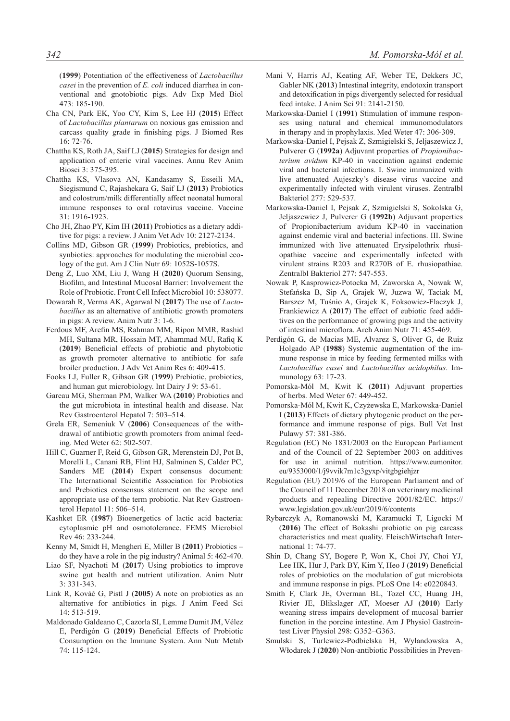(**1999**) Potentiation of the effectiveness of *Lactobacillus casei* in the prevention of *E. coli* induced diarrhea in conventional and gnotobiotic pigs. Adv Exp Med Biol 473: 185-190.

- Cha CN, Park EK, Yoo CY, Kim S, Lee HJ (**2015**) Effect of *Lactobacillus plantarum* on noxious gas emission and carcass quality grade in finishing pigs. J Biomed Res 16: 72-76.
- Chattha KS, Roth JA, Saif LJ (**2015**) Strategies for design and application of enteric viral vaccines. Annu Rev Anim Biosci 3: 375-395.
- Chattha KS, Vlasova AN, Kandasamy S, Esseili MA, Siegismund C, Rajashekara G, Saif LJ (**2013**) Probiotics and colostrum/milk differentially affect neonatal humoral immune responses to oral rotavirus vaccine. Vaccine 31: 1916-1923.
- Cho JH, Zhao PY, Kim IH (**2011**) Probiotics as a dietary additive for pigs: a review. J Anim Vet Adv 10: 2127-2134.
- Collins MD, Gibson GR (**1999**) Probiotics, prebiotics, and synbiotics: approaches for modulating the microbial ecology of the gut. Am J Clin Nutr 69: 1052S-1057S.
- Deng Z, Luo XM, Liu J, Wang H (**2020**) Quorum Sensing, Biofilm, and Intestinal Mucosal Barrier: Involvement the Role of Probiotic. Front Cell Infect Microbiol 10: 538077.
- Dowarah R, Verma AK, Agarwal N (**2017**) The use of *Lactobacillus* as an alternative of antibiotic growth promoters in pigs: A review. Anim Nutr 3: 1-6.
- Ferdous MF, Arefin MS, Rahman MM, Ripon MMR, Rashid MH, Sultana MR, Hossain MT, Ahammad MU, Rafiq K (**2019**) Beneficial effects of probiotic and phytobiotic as growth promoter alternative to antibiotic for safe broiler production. J Adv Vet Anim Res 6: 409-415.
- Fooks LJ, Fuller R, Gibson GR (**1999**) Prebiotic, probiotics, and human gut microbiology. Int Dairy J 9: 53-61.
- Gareau MG, Sherman PM, Walker WA (**2010**) Probiotics and the gut microbiota in intestinal health and disease. Nat Rev Gastroenterol Hepatol 7: 503–514.
- Grela ER, Semeniuk V (**2006**) Consequences of the withdrawal of antibiotic growth promoters from animal feeding. Med Weter 62: 502-507.
- Hill C, Guarner F, Reid G, Gibson GR, Merenstein DJ, Pot B, Morelli L, Canani RB, Flint HJ, Salminen S, Calder PC, Sanders ME (**2014**) Expert consensus document: The International Scientific Association for Probiotics and Prebiotics consensus statement on the scope and appropriate use of the term probiotic. Nat Rev Gastroenterol Hepatol 11: 506–514.
- Kashket ER (**1987**) Bioenergetics of lactic acid bacteria: cytoplasmic pH and osmotolerance. FEMS Microbiol Rev 46: 233-244.
- Kenny M, Smidt H, Mengheri E, Miller B (**2011**) Probiotics do they have a role in the pig industry? Animal 5: 462-470.
- Liao SF, Nyachoti M (**2017**) Using probiotics to improve swine gut health and nutrient utilization. Anim Nutr 3: 331-343.
- Link R, Kováč G, Pistl J (**2005**) A note on probiotics as an alternative for antibiotics in pigs. J Anim Feed Sci 14: 513-519.
- Maldonado Galdeano C, Cazorla SI, Lemme Dumit JM, Vélez E, Perdigón G (**2019**) Beneficial Effects of Probiotic Consumption on the Immune System. Ann Nutr Metab 74: 115-124.
- Mani V, Harris AJ, Keating AF, Weber TE, Dekkers JC, Gabler NK (**2013**) Intestinal integrity, endotoxin transport and detoxification in pigs divergently selected for residual feed intake. J Anim Sci 91: 2141-2150.
- Markowska-Daniel I (**1991**) Stimulation of immune responses using natural and chemical immunomodulators in therapy and in prophylaxis. Med Weter 47: 306-309.
- Markowska-Daniel I, Pejsak Z, Szmigielski S, Jeljaszewicz J, Pulverer G (**1992a**) Adjuvant properties of *Propionibacterium avidum* KP-40 in vaccination against endemic viral and bacterial infections. I. Swine immunized with live attenuated Aujeszky's disease virus vaccine and experimentally infected with virulent viruses. Zentralbl Bakteriol 277: 529-537.
- Markowska-Daniel I, Pejsak Z, Szmigielski S, Sokolska G, Jeljaszewicz J, Pulverer G (**1992b**) Adjuvant properties of Propionibacterium avidum KP-40 in vaccination against endemic viral and bacterial infections. III. Swine immunized with live attenuated Erysipelothrix rhusiopathiae vaccine and experimentally infected with virulent strains R203 and R270B of E. rhusiopathiae. Zentralbl Bakteriol 277: 547-553.
- Nowak P, Kasprowicz-Potocka M, Zaworska A, Nowak W, Stefańska B, Sip A, Grajek W, Juzwa W, Taciak M, Barszcz M, Tuśnio A, Grajek K, Foksowicz-Flaczyk J, Frankiewicz A (**2017**) The effect of eubiotic feed additives on the performance of growing pigs and the activity of intestinal microflora. Arch Anim Nutr 71: 455-469.
- Perdigón G, de Macias ME, Alvarez S, Oliver G, de Ruiz Holgado AP (**1988**) Systemic augmentation of the immune response in mice by feeding fermented milks with *Lactobacillus casei* and *Lactobacillus acidophilus*. Immunology 63: 17-23.
- Pomorska-Mól M, Kwit K (**2011**) Adjuvant properties of herbs. Med Weter 67: 449-452.
- Pomorska-Mól M, Kwit K, Czyżewska E, Markowska-Daniel I (**2013**) Effects of dietary phytogenic product on the performance and immune response of pigs. Bull Vet Inst Pulawy 57: 381-386.
- Regulation (EC) No 1831/2003 on the European Parliament and of the Council of 22 September 2003 on additives for use in animal nutrition. https://www.eumonitor. eu/9353000/1/j9vvik7m1c3gyxp/vitgbgiehjzr
- Regulation (EU) 2019/6 of the European Parliament and of the Council of 11 December 2018 on veterinary medicinal products and repealing Directive 2001/82/EC. https:// www.legislation.gov.uk/eur/2019/6/contents
- Rybarczyk A, Romanowski M, Karamucki T, Ligocki M (**2016**) The effect of Bokashi probiotic on pig carcass characteristics and meat quality. FleischWirtschaft International 1: 74-77.
- Shin D, Chang SY, Bogere P, Won K, Choi JY, Choi YJ, Lee HK, Hur J, Park BY, Kim Y, Heo J (**2019**) Beneficial roles of probiotics on the modulation of gut microbiota and immune response in pigs. PLoS One 14: e0220843.
- Smith F, Clark JE, Overman BL, Tozel CC, Huang JH, Rivier JE, Blikslager AT, Moeser AJ (**2010**) Early weaning stress impairs development of mucosal barrier function in the porcine intestine. Am J Physiol Gastrointest Liver Physiol 298: G352–G363.
- Smulski S, Turlewicz-Podbielska H, Wylandowska A, Włodarek J (**2020**) Non-antibiotic Possibilities in Preven-